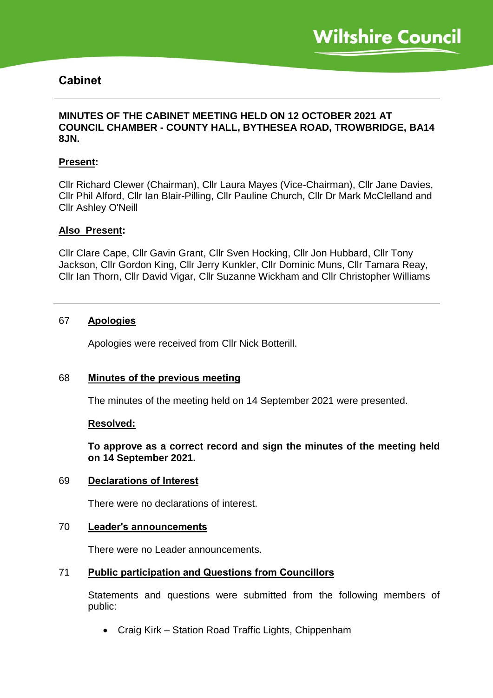# **Cabinet**

### **MINUTES OF THE CABINET MEETING HELD ON 12 OCTOBER 2021 AT COUNCIL CHAMBER - COUNTY HALL, BYTHESEA ROAD, TROWBRIDGE, BA14 8JN.**

### **Present:**

Cllr Richard Clewer (Chairman), Cllr Laura Mayes (Vice-Chairman), Cllr Jane Davies, Cllr Phil Alford, Cllr Ian Blair-Pilling, Cllr Pauline Church, Cllr Dr Mark McClelland and Cllr Ashley O'Neill

### **Also Present:**

Cllr Clare Cape, Cllr Gavin Grant, Cllr Sven Hocking, Cllr Jon Hubbard, Cllr Tony Jackson, Cllr Gordon King, Cllr Jerry Kunkler, Cllr Dominic Muns, Cllr Tamara Reay, Cllr Ian Thorn, Cllr David Vigar, Cllr Suzanne Wickham and Cllr Christopher Williams

### 67 **Apologies**

Apologies were received from Cllr Nick Botterill.

### 68 **Minutes of the previous meeting**

The minutes of the meeting held on 14 September 2021 were presented.

### **Resolved:**

**To approve as a correct record and sign the minutes of the meeting held on 14 September 2021.**

### 69 **Declarations of Interest**

There were no declarations of interest.

### 70 **Leader's announcements**

There were no Leader announcements.

### 71 **Public participation and Questions from Councillors**

Statements and questions were submitted from the following members of public:

• Craig Kirk – Station Road Traffic Lights, Chippenham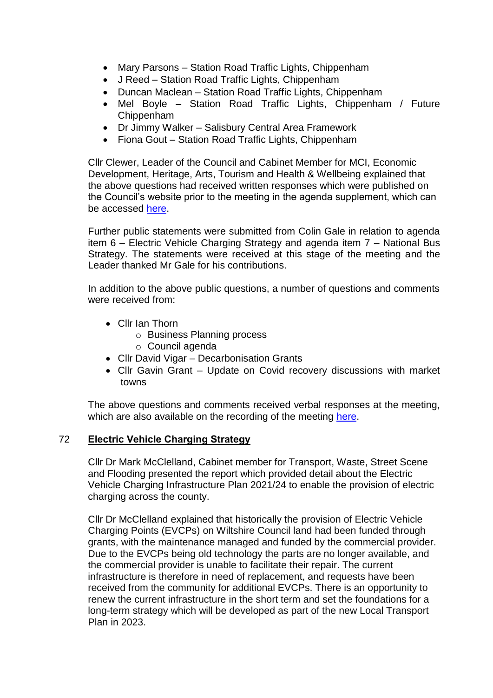- Mary Parsons Station Road Traffic Lights, Chippenham
- J Reed Station Road Traffic Lights, Chippenham
- Duncan Maclean Station Road Traffic Lights, Chippenham
- Mel Boyle Station Road Traffic Lights, Chippenham / Future Chippenham
- Dr Jimmy Walker Salisbury Central Area Framework
- Fiona Gout Station Road Traffic Lights, Chippenham

Cllr Clewer, Leader of the Council and Cabinet Member for MCI, Economic Development, Heritage, Arts, Tourism and Health & Wellbeing explained that the above questions had received written responses which were published on the Council's website prior to the meeting in the agenda supplement, which can be accessed [here.](https://cms.wiltshire.gov.uk/ieListDocuments.aspx?CId=141&MId=13772&Ver=4)

Further public statements were submitted from Colin Gale in relation to agenda item 6 – Electric Vehicle Charging Strategy and agenda item 7 – National Bus Strategy. The statements were received at this stage of the meeting and the Leader thanked Mr Gale for his contributions.

In addition to the above public questions, a number of questions and comments were received from:

- Cllr Ian Thorn
	- o Business Planning process
	- o Council agenda
- Cllr David Vigar Decarbonisation Grants
- Cllr Gavin Grant Update on Covid recovery discussions with market towns

The above questions and comments received verbal responses at the meeting, which are also available on the recording of the meeting [here.](https://cms.wiltshire.gov.uk/ieListDocuments.aspx?CId=141&MId=13772&Ver=4)

### 72 **Electric Vehicle Charging Strategy**

Cllr Dr Mark McClelland, Cabinet member for Transport, Waste, Street Scene and Flooding presented the report which provided detail about the Electric Vehicle Charging Infrastructure Plan 2021/24 to enable the provision of electric charging across the county.

Cllr Dr McClelland explained that historically the provision of Electric Vehicle Charging Points (EVCPs) on Wiltshire Council land had been funded through grants, with the maintenance managed and funded by the commercial provider. Due to the EVCPs being old technology the parts are no longer available, and the commercial provider is unable to facilitate their repair. The current infrastructure is therefore in need of replacement, and requests have been received from the community for additional EVCPs. There is an opportunity to renew the current infrastructure in the short term and set the foundations for a long-term strategy which will be developed as part of the new Local Transport Plan in 2023.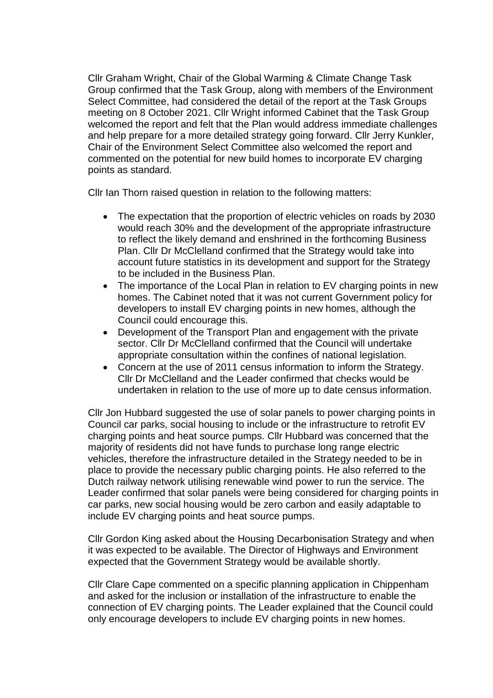Cllr Graham Wright, Chair of the Global Warming & Climate Change Task Group confirmed that the Task Group, along with members of the Environment Select Committee, had considered the detail of the report at the Task Groups meeting on 8 October 2021. Cllr Wright informed Cabinet that the Task Group welcomed the report and felt that the Plan would address immediate challenges and help prepare for a more detailed strategy going forward. Cllr Jerry Kunkler, Chair of the Environment Select Committee also welcomed the report and commented on the potential for new build homes to incorporate EV charging points as standard.

Cllr Ian Thorn raised question in relation to the following matters:

- The expectation that the proportion of electric vehicles on roads by 2030 would reach 30% and the development of the appropriate infrastructure to reflect the likely demand and enshrined in the forthcoming Business Plan. Cllr Dr McClelland confirmed that the Strategy would take into account future statistics in its development and support for the Strategy to be included in the Business Plan.
- The importance of the Local Plan in relation to EV charging points in new homes. The Cabinet noted that it was not current Government policy for developers to install EV charging points in new homes, although the Council could encourage this.
- Development of the Transport Plan and engagement with the private sector. Cllr Dr McClelland confirmed that the Council will undertake appropriate consultation within the confines of national legislation.
- Concern at the use of 2011 census information to inform the Strategy. Cllr Dr McClelland and the Leader confirmed that checks would be undertaken in relation to the use of more up to date census information.

Cllr Jon Hubbard suggested the use of solar panels to power charging points in Council car parks, social housing to include or the infrastructure to retrofit EV charging points and heat source pumps. Cllr Hubbard was concerned that the majority of residents did not have funds to purchase long range electric vehicles, therefore the infrastructure detailed in the Strategy needed to be in place to provide the necessary public charging points. He also referred to the Dutch railway network utilising renewable wind power to run the service. The Leader confirmed that solar panels were being considered for charging points in car parks, new social housing would be zero carbon and easily adaptable to include EV charging points and heat source pumps.

Cllr Gordon King asked about the Housing Decarbonisation Strategy and when it was expected to be available. The Director of Highways and Environment expected that the Government Strategy would be available shortly.

Cllr Clare Cape commented on a specific planning application in Chippenham and asked for the inclusion or installation of the infrastructure to enable the connection of EV charging points. The Leader explained that the Council could only encourage developers to include EV charging points in new homes.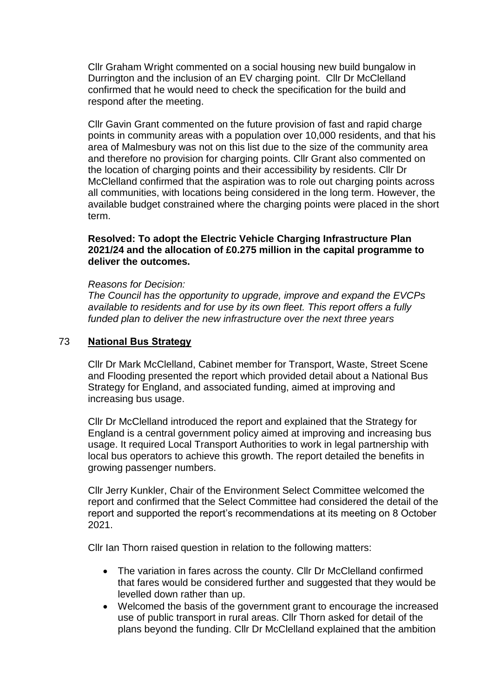Cllr Graham Wright commented on a social housing new build bungalow in Durrington and the inclusion of an EV charging point. Cllr Dr McClelland confirmed that he would need to check the specification for the build and respond after the meeting.

Cllr Gavin Grant commented on the future provision of fast and rapid charge points in community areas with a population over 10,000 residents, and that his area of Malmesbury was not on this list due to the size of the community area and therefore no provision for charging points. Cllr Grant also commented on the location of charging points and their accessibility by residents. Cllr Dr McClelland confirmed that the aspiration was to role out charging points across all communities, with locations being considered in the long term. However, the available budget constrained where the charging points were placed in the short term.

### **Resolved: To adopt the Electric Vehicle Charging Infrastructure Plan 2021/24 and the allocation of £0.275 million in the capital programme to deliver the outcomes.**

#### *Reasons for Decision:*

*The Council has the opportunity to upgrade, improve and expand the EVCPs available to residents and for use by its own fleet. This report offers a fully funded plan to deliver the new infrastructure over the next three years*

### 73 **National Bus Strategy**

Cllr Dr Mark McClelland, Cabinet member for Transport, Waste, Street Scene and Flooding presented the report which provided detail about a National Bus Strategy for England, and associated funding, aimed at improving and increasing bus usage.

Cllr Dr McClelland introduced the report and explained that the Strategy for England is a central government policy aimed at improving and increasing bus usage. It required Local Transport Authorities to work in legal partnership with local bus operators to achieve this growth. The report detailed the benefits in growing passenger numbers.

Cllr Jerry Kunkler, Chair of the Environment Select Committee welcomed the report and confirmed that the Select Committee had considered the detail of the report and supported the report's recommendations at its meeting on 8 October 2021.

Cllr Ian Thorn raised question in relation to the following matters:

- The variation in fares across the county. Cllr Dr McClelland confirmed that fares would be considered further and suggested that they would be levelled down rather than up.
- Welcomed the basis of the government grant to encourage the increased use of public transport in rural areas. Cllr Thorn asked for detail of the plans beyond the funding. Cllr Dr McClelland explained that the ambition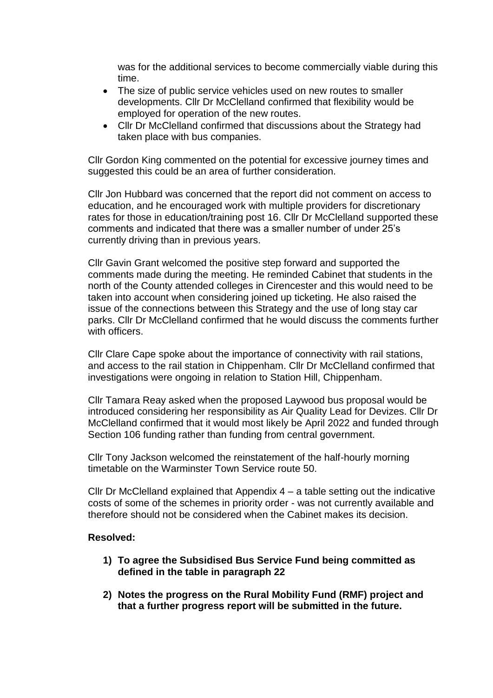was for the additional services to become commercially viable during this time.

- The size of public service vehicles used on new routes to smaller developments. Cllr Dr McClelland confirmed that flexibility would be employed for operation of the new routes.
- Cllr Dr McClelland confirmed that discussions about the Strategy had taken place with bus companies.

Cllr Gordon King commented on the potential for excessive journey times and suggested this could be an area of further consideration.

Cllr Jon Hubbard was concerned that the report did not comment on access to education, and he encouraged work with multiple providers for discretionary rates for those in education/training post 16. Cllr Dr McClelland supported these comments and indicated that there was a smaller number of under 25's currently driving than in previous years.

Cllr Gavin Grant welcomed the positive step forward and supported the comments made during the meeting. He reminded Cabinet that students in the north of the County attended colleges in Cirencester and this would need to be taken into account when considering joined up ticketing. He also raised the issue of the connections between this Strategy and the use of long stay car parks. Cllr Dr McClelland confirmed that he would discuss the comments further with officers.

Cllr Clare Cape spoke about the importance of connectivity with rail stations, and access to the rail station in Chippenham. Cllr Dr McClelland confirmed that investigations were ongoing in relation to Station Hill, Chippenham.

Cllr Tamara Reay asked when the proposed Laywood bus proposal would be introduced considering her responsibility as Air Quality Lead for Devizes. Cllr Dr McClelland confirmed that it would most likely be April 2022 and funded through Section 106 funding rather than funding from central government.

Cllr Tony Jackson welcomed the reinstatement of the half-hourly morning timetable on the Warminster Town Service route 50.

Cllr Dr McClelland explained that Appendix 4 – a table setting out the indicative costs of some of the schemes in priority order - was not currently available and therefore should not be considered when the Cabinet makes its decision.

### **Resolved:**

- **1) To agree the Subsidised Bus Service Fund being committed as defined in the table in paragraph 22**
- **2) Notes the progress on the Rural Mobility Fund (RMF) project and that a further progress report will be submitted in the future.**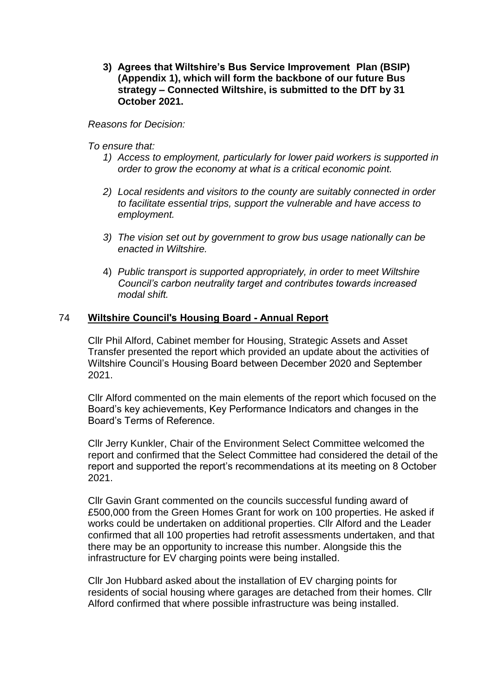**3) Agrees that Wiltshire's Bus Service Improvement Plan (BSIP) (Appendix 1), which will form the backbone of our future Bus strategy – Connected Wiltshire, is submitted to the DfT by 31 October 2021.**

*Reasons for Decision:*

*To ensure that:*

- *1) Access to employment, particularly for lower paid workers is supported in order to grow the economy at what is a critical economic point.*
- *2) Local residents and visitors to the county are suitably connected in order to facilitate essential trips, support the vulnerable and have access to employment.*
- *3) The vision set out by government to grow bus usage nationally can be enacted in Wiltshire.*
- 4) *Public transport is supported appropriately, in order to meet Wiltshire Council's carbon neutrality target and contributes towards increased modal shift.*

# 74 **Wiltshire Council's Housing Board - Annual Report**

Cllr Phil Alford, Cabinet member for Housing, Strategic Assets and Asset Transfer presented the report which provided an update about the activities of Wiltshire Council's Housing Board between December 2020 and September 2021.

Cllr Alford commented on the main elements of the report which focused on the Board's key achievements, Key Performance Indicators and changes in the Board's Terms of Reference.

Cllr Jerry Kunkler, Chair of the Environment Select Committee welcomed the report and confirmed that the Select Committee had considered the detail of the report and supported the report's recommendations at its meeting on 8 October 2021.

Cllr Gavin Grant commented on the councils successful funding award of £500,000 from the Green Homes Grant for work on 100 properties. He asked if works could be undertaken on additional properties. Cllr Alford and the Leader confirmed that all 100 properties had retrofit assessments undertaken, and that there may be an opportunity to increase this number. Alongside this the infrastructure for EV charging points were being installed.

Cllr Jon Hubbard asked about the installation of EV charging points for residents of social housing where garages are detached from their homes. Cllr Alford confirmed that where possible infrastructure was being installed.